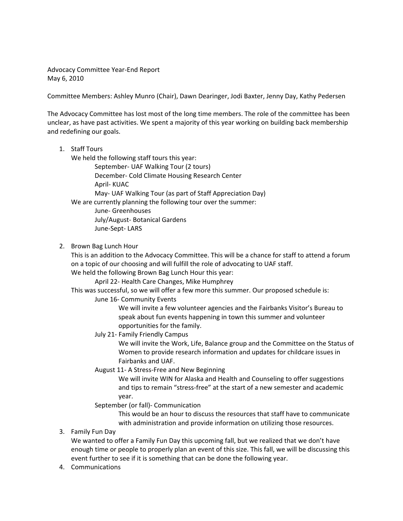Advocacy Committee Year-End Report May 6, 2010

Committee Members: Ashley Munro (Chair), Dawn Dearinger, Jodi Baxter, Jenny Day, Kathy Pedersen

The Advocacy Committee has lost most of the long time members. The role of the committee has been unclear, as have past activities. We spent a majority of this year working on building back membership and redefining our goals.

1. Staff Tours

We held the following staff tours this year:

September- UAF Walking Tour (2 tours) December- Cold Climate Housing Research Center April- KUAC May- UAF Walking Tour (as part of Staff Appreciation Day) We are currently planning the following tour over the summer:

June- Greenhouses July/August- Botanical Gardens June-Sept- LARS

2. Brown Bag Lunch Hour

This is an addition to the Advocacy Committee. This will be a chance for staff to attend a forum on a topic of our choosing and will fulfill the role of advocating to UAF staff.

We held the following Brown Bag Lunch Hour this year:

April 22- Health Care Changes, Mike Humphrey

This was successful, so we will offer a few more this summer. Our proposed schedule is:

June 16- Community Events

We will invite a few volunteer agencies and the Fairbanks Visitor's Bureau to speak about fun events happening in town this summer and volunteer opportunities for the family.

July 21- Family Friendly Campus

We will invite the Work, Life, Balance group and the Committee on the Status of Women to provide research information and updates for childcare issues in Fairbanks and UAF.

August 11- A Stress-Free and New Beginning

We will invite WIN for Alaska and Health and Counseling to offer suggestions and tips to remain "stress-free" at the start of a new semester and academic year.

September (or fall)- Communication

This would be an hour to discuss the resources that staff have to communicate with administration and provide information on utilizing those resources.

3. Family Fun Day

We wanted to offer a Family Fun Day this upcoming fall, but we realized that we don't have enough time or people to properly plan an event of this size. This fall, we will be discussing this event further to see if it is something that can be done the following year.

4. Communications